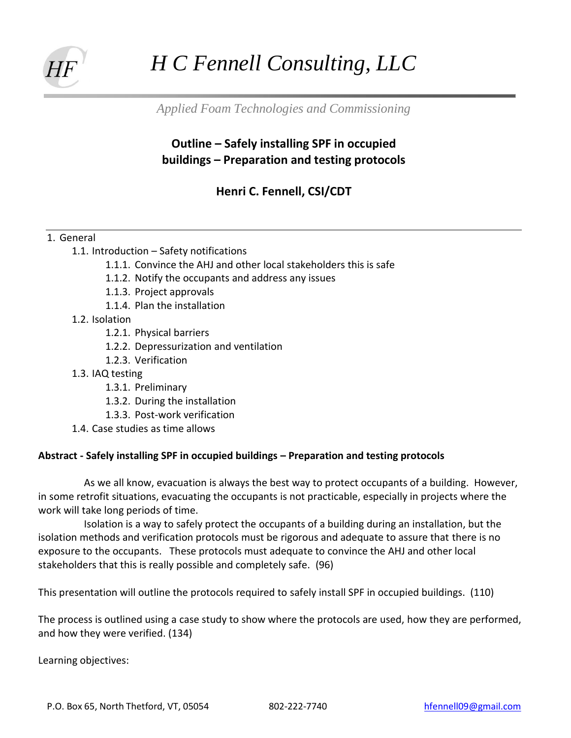

## *H C Fennell Consulting, LLC*

*Applied Foam Technologies and Commissioning*

## **Outline – Safely installing SPF in occupied buildings – Preparation and testing protocols**

**Henri C. Fennell, CSI/CDT**

## 1. General

- 1.1. Introduction Safety notifications
	- 1.1.1. Convince the AHJ and other local stakeholders this is safe
	- 1.1.2. Notify the occupants and address any issues
	- 1.1.3. Project approvals
	- 1.1.4. Plan the installation
- 1.2. Isolation
	- 1.2.1. Physical barriers
	- 1.2.2. Depressurization and ventilation
	- 1.2.3. Verification
- 1.3. IAQ testing
	- 1.3.1. Preliminary
	- 1.3.2. During the installation
	- 1.3.3. Post-work verification
- 1.4. Case studies as time allows

## **Abstract - Safely installing SPF in occupied buildings – Preparation and testing protocols**

As we all know, evacuation is always the best way to protect occupants of a building. However, in some retrofit situations, evacuating the occupants is not practicable, especially in projects where the work will take long periods of time.

Isolation is a way to safely protect the occupants of a building during an installation, but the isolation methods and verification protocols must be rigorous and adequate to assure that there is no exposure to the occupants. These protocols must adequate to convince the AHJ and other local stakeholders that this is really possible and completely safe. (96)

This presentation will outline the protocols required to safely install SPF in occupied buildings. (110)

The process is outlined using a case study to show where the protocols are used, how they are performed, and how they were verified. (134)

Learning objectives: